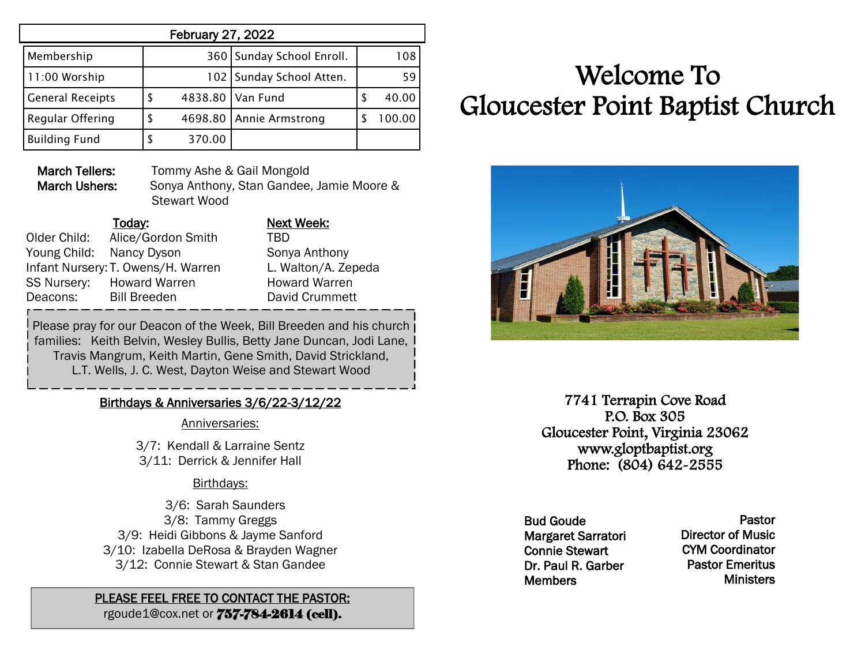| <b>February 27, 2022</b> |   |         |                           |   |        |
|--------------------------|---|---------|---------------------------|---|--------|
| Membership               |   |         | 360 Sunday School Enroll. |   | 108    |
| 11:00 Worship            |   |         | 102 Sunday School Atten.  |   | 59     |
| <b>General Receipts</b>  | S |         | 4838.80 Van Fund          | S | 40.00  |
| Regular Offering         |   | 4698.80 | Annie Armstrong           |   | 100.00 |
| <b>Building Fund</b>     |   | 370.00  |                           |   |        |

March Tellers: Tommy Ashe & Gail Mongold March Ushers: Sonya Anthony, Stan Gandee, Jamie Moore & Stewart Wood

|              | Today:                             | <b>Next Week:</b> |
|--------------|------------------------------------|-------------------|
| Older Child: | Alice/Gordon Smith                 | TBD               |
|              | Young Child: Nancy Dyson           | Sonya Antho       |
|              | Infant Nursery: T. Owens/H. Warren | L. Walton/A       |
|              | SS Nursery: Howard Warren          | Howard Wa         |
| Deacons:     | <b>Bill Breeden</b>                | David Crum        |
|              |                                    |                   |

Sonya Anthony L. Walton/A. Zepeda Howard Warren David Crummett

Please pray for our Deacon of the Week, Bill Breeden and his church families: Keith Belvin, Wesley Bullis, Betty Jane Duncan, Jodi Lane, Travis Mangrum, Keith Martin, Gene Smith, David Strickland, L.T. Wells, J. C. West, Dayton Weise and Stewart Wood

### Birthdays & Anniversaries 3/6/22-3/12/22

Anniversaries:

3/7: Kendall & Larraine Sentz 3/11: Derrick & Jennifer Hall

### Birthdays:

 3/6: Sarah Saunders 3/8: Tammy Greggs 3/9: Heidi Gibbons & Jayme Sanford 3/10: Izabella DeRosa & Brayden Wagner 3/12: Connie Stewart & Stan Gandee

## PLEASE FEEL FREE TO CONTACT THE PASTOR:

rgoude1@cox.net or 757-784-2614 (cell).

# Welcome To Gloucester Point Baptist Church



7741 Terrapin Cove Road P.O. Box 305 Gloucester Point, Virginia 23062 www.gloptbaptist.org Phone: (804) 642-2555

Bud Goude Margaret Sarratori Connie Stewart Dr. Paul R. Garber **Members** 

Pastor Director of Music CYM Coordinator Pastor Emeritus **Ministers**